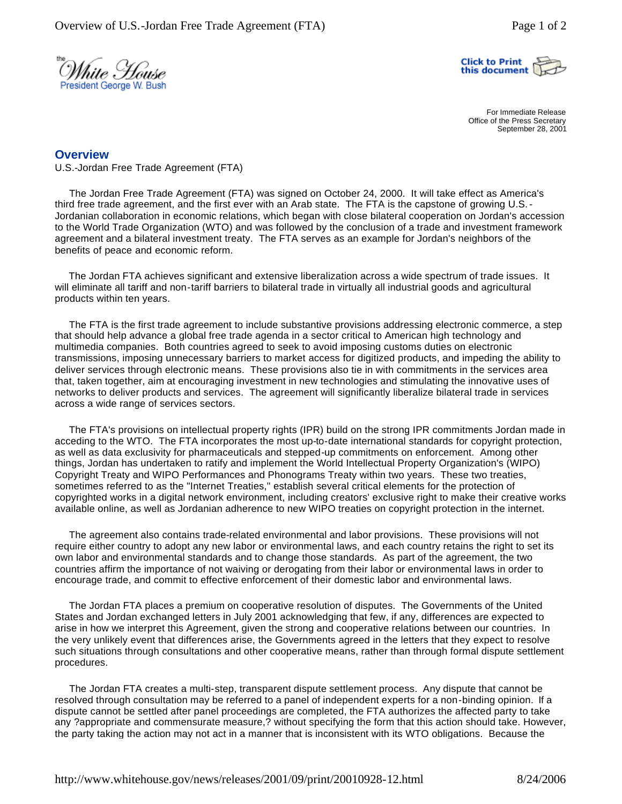



For Immediate Release Office of the Press Secretary September 28, 2001

## **Overview**

U.S.-Jordan Free Trade Agreement (FTA)

 The Jordan Free Trade Agreement (FTA) was signed on October 24, 2000. It will take effect as America's third free trade agreement, and the first ever with an Arab state. The FTA is the capstone of growing U.S.- Jordanian collaboration in economic relations, which began with close bilateral cooperation on Jordan's accession to the World Trade Organization (WTO) and was followed by the conclusion of a trade and investment framework agreement and a bilateral investment treaty. The FTA serves as an example for Jordan's neighbors of the benefits of peace and economic reform.

 The Jordan FTA achieves significant and extensive liberalization across a wide spectrum of trade issues. It will eliminate all tariff and non-tariff barriers to bilateral trade in virtually all industrial goods and agricultural products within ten years.

 The FTA is the first trade agreement to include substantive provisions addressing electronic commerce, a step that should help advance a global free trade agenda in a sector critical to American high technology and multimedia companies. Both countries agreed to seek to avoid imposing customs duties on electronic transmissions, imposing unnecessary barriers to market access for digitized products, and impeding the ability to deliver services through electronic means. These provisions also tie in with commitments in the services area that, taken together, aim at encouraging investment in new technologies and stimulating the innovative uses of networks to deliver products and services. The agreement will significantly liberalize bilateral trade in services across a wide range of services sectors.

 The FTA's provisions on intellectual property rights (IPR) build on the strong IPR commitments Jordan made in acceding to the WTO. The FTA incorporates the most up-to-date international standards for copyright protection, as well as data exclusivity for pharmaceuticals and stepped-up commitments on enforcement. Among other things, Jordan has undertaken to ratify and implement the World Intellectual Property Organization's (WIPO) Copyright Treaty and WIPO Performances and Phonograms Treaty within two years. These two treaties, sometimes referred to as the "Internet Treaties," establish several critical elements for the protection of copyrighted works in a digital network environment, including creators' exclusive right to make their creative works available online, as well as Jordanian adherence to new WIPO treaties on copyright protection in the internet.

 The agreement also contains trade-related environmental and labor provisions. These provisions will not require either country to adopt any new labor or environmental laws, and each country retains the right to set its own labor and environmental standards and to change those standards. As part of the agreement, the two countries affirm the importance of not waiving or derogating from their labor or environmental laws in order to encourage trade, and commit to effective enforcement of their domestic labor and environmental laws.

 The Jordan FTA places a premium on cooperative resolution of disputes. The Governments of the United States and Jordan exchanged letters in July 2001 acknowledging that few, if any, differences are expected to arise in how we interpret this Agreement, given the strong and cooperative relations between our countries. In the very unlikely event that differences arise, the Governments agreed in the letters that they expect to resolve such situations through consultations and other cooperative means, rather than through formal dispute settlement procedures.

 The Jordan FTA creates a multi-step, transparent dispute settlement process. Any dispute that cannot be resolved through consultation may be referred to a panel of independent experts for a non-binding opinion. If a dispute cannot be settled after panel proceedings are completed, the FTA authorizes the affected party to take any ?appropriate and commensurate measure,? without specifying the form that this action should take. However, the party taking the action may not act in a manner that is inconsistent with its WTO obligations. Because the